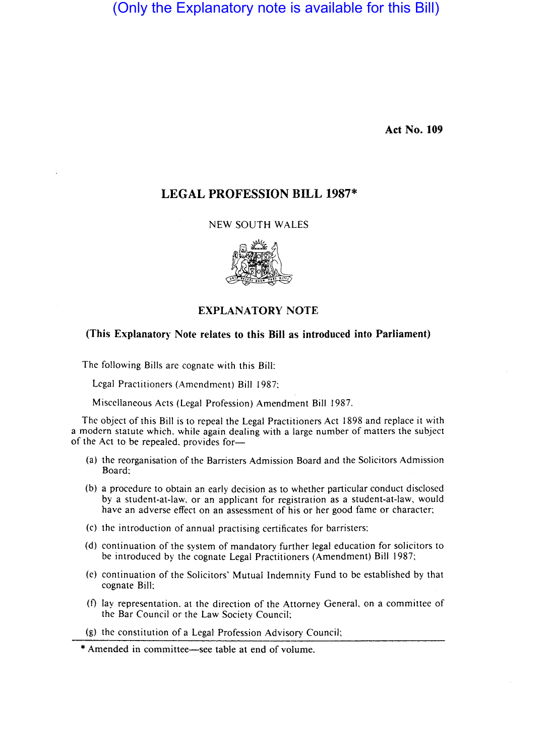(Only the Explanatory note is available for this Bill)

**Act** No. **109** 

# **LEGAL PROFESSION BILL** 1987\*

NEW SOUTH WALES



## EXPLANATORY NOTE

## (This Explanatory Note relates to this **Bill** as introduced into Parliament)

The following Bills are cognate with this Bill:

Legal Practitioners (Amendment) Bill 1987;

Miscellaneous Acts (Legal Profession) Amendment Bill 1987.

The object of this Bill is to repeal the Legal Practitioners Act 1898 and replace it with a modern statute which. while again dealing with a large number of matters the subject of the Act to be repealed, provides for-

- (a) the reorganisation of the Barristers Admission Board and the Solicitors Admission Board:
- (b) a procedure to obtain an early decision as to whether particular conduct disclosed by a student-at-Iaw. or an applicant for registration as a student-at-Iaw, would have an adverse effect on an assessment of his or her good fame or character;
- (c) the introduction of annual practising certificates for barristers;
- (d) continuation of the system of mandatory further legal education for solicitors to be introduced by the cognate Legal Practitioners (Amendment) Bill 1987;
- (e) continuation of the Solicitors' Mutual Indemnity Fund to be established by that cognate Bill;
- (f) lay representation. at the direction of the Attorney General, on a committee of the Bar Council or the Law Society Council;
- (g) the constitution of a Legal Profession Advisory Council;

<sup>\*</sup> Amended in committee-see table at end of volume.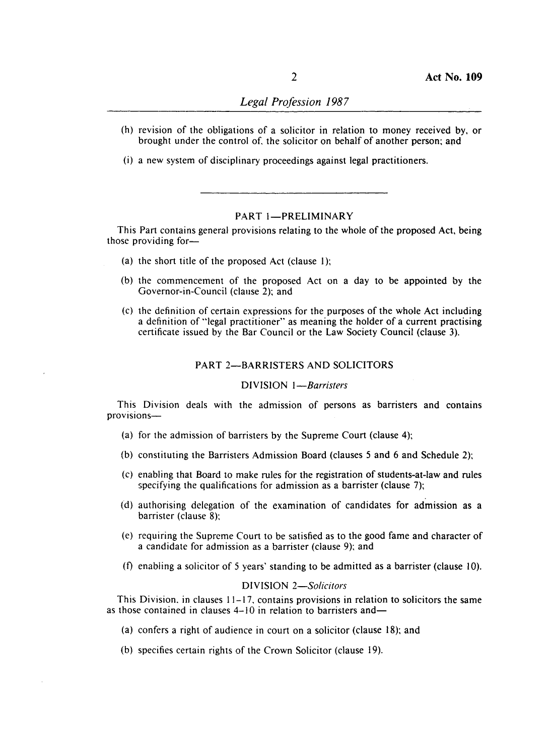- (h) revision of the obligations of a solicitor in relation to money received by, or brought under the control of. the solicitor on behalf of another person; and
- (i) a new system of disciplinary proceedings against legal practitioners.

## PART I-PRELIMINARY

This Part contains general provisions relating to the whole of the proposed Act, being those providing for-

- (a) the short title of the proposed Act (clause I);
- (b) the commencement of the proposed Act on a day to be appointed by the Governor-in-Council (clause 2); and
- (c) the definition of certain expressions for the purposes of the whole Act including a definition of "legal practitioner" as meaning the holder of a current practising certificate issued by the Bar Council or the Law Society Council (clause 3).

### PART 2-BARRISTERS AND SOLICITORS

### DIVISION *I-Barristers*

This Division deals with the admission of persons as barristers and contains provisions-

- (a) for the admission of barristers by the Supreme Court (clause 4);
- (b) constituting the Barristers Admission Board (clauses 5 and 6 and Schedule 2);
- (c) enabling that Board to make rules for the registration of students-at-Iaw and rules specifying the qualifications for admission as a barrister (clause 7);
- (d) authorising delegation of the examination of candidates for admission as a barrister (clause 8);
- (e) requiring the Supreme Court to be satisfied as to the good fame and character of a candidate for admission as a barrister (clause 9); and
- (f) enabling a solicitor of 5 years' standing to be admitted as a barrister (clause 10).

## DIVISION *2-Solicitors*

This Division. in clauses 11-17. contains provisions in relation to solicitors the same as those contained in clauses  $4-10$  in relation to barristers and-

- (a) confers a right of audience in court on a solicitor (clause 18); and
- (b) specifies certain rights of the Crown Solicitor (clause 19).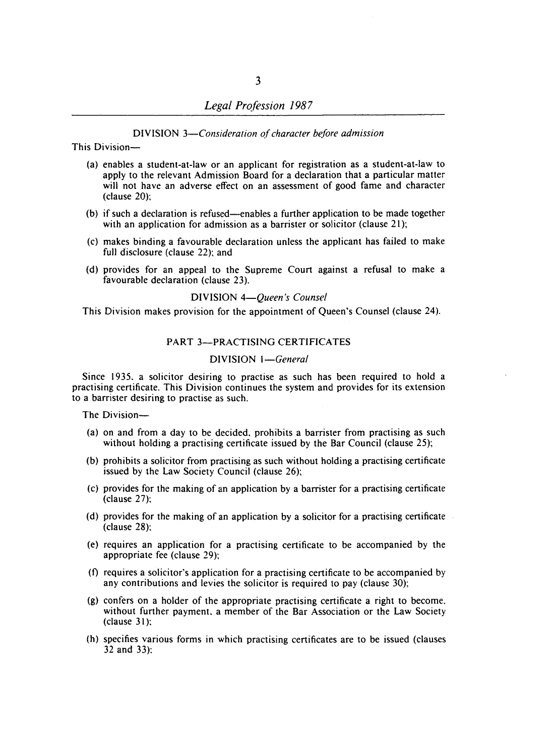### DIVISION *3-Consideration of character before admission*

This Division-

- (a) enables a student-at-Iaw or an applicant for registration as a student-at-Iaw to apply to the relevant Admission Board for a declaration that a particular matter will not have an adverse effect on an assessment of good fame and character (clause 20);
- (b) if such a declaration is refused-enables a further application to be made together with an application for admission as a barrister or solicitor (clause 21);
- (c) makes binding a favourable declaration unless the applicant has failed to make full disclosure (clause 22); and
- (d) provides for an appeal to the Supreme Court against a refusal to make a favourable declaration (clause 23).

### DIVISION *4-Queen's Counsel*

This Division makes provision for the appointment of Queen's Counsel (clause 24).

## PART 3-PRACTISING CERTIFICATES

## DIVISION *I-General*

Since 1935. a solicitor desiring to practise as such has been required to hold a practising certificate. This Division continues the system and provides for its extension to a barrister desiring to practise as such.

The Division-

- (a) on and from a day to be decided. prohibits a barrister from practising as such without holding a practising certificate issued by the Bar Council (clause 25);
- (b) prohibits a solicitor from practising as such without holding a practising certificate issued by the Law Society Council (clause 26);
- (c) provides for the making of an application by a barrister for a practising certificate (clause 27);
- (d) provides for the making of an application by a solicitor for a practising certificate (clause 28);
- (e) requires an application for a practising certificate to be accompanied by the appropriate fee (clause 29);
- (f) requires a solicitor's application for a practising certificate to be accompanied by any contributions and levies the solicitor is required to pay (clause 30);
- (g) confers on a holder of the appropriate practising certificate a right to become. without further payment. a member of the Bar Association or the Law Society (clause 31);
- (h) specifies various forms in which practising certificates are to be issued (clauses 32 and 33):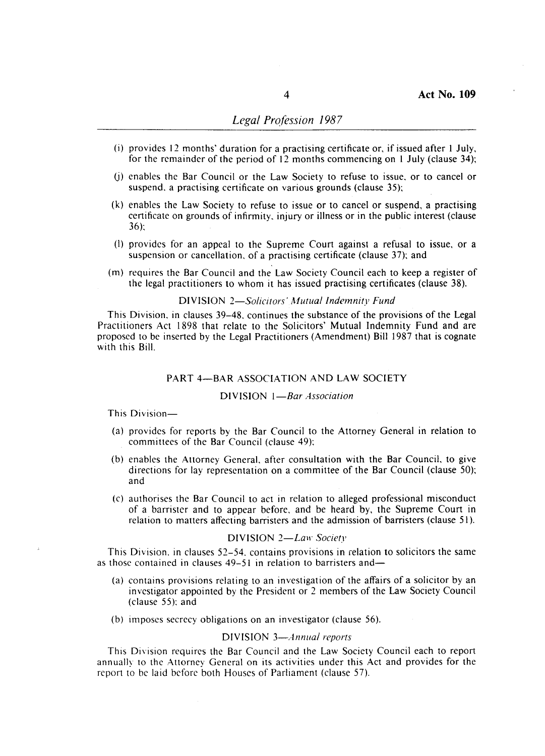## *Legal Profession 1987*

- (i) provides 12 months' duration for a practising certificate or, if issued after I July, for the remainder of the period of 12 months commencing on I July (clause 34);
- (j) enables the Bar Council or the Law Society to refuse to issue, or to cancel or suspend, a practising certificate on various grounds (clause 35);
- (k) enables the Law Society to refuse to issue or to cancel or suspend, a practising certificate on grounds of infirmity, injury or illness or in the public interest (clause 36);
- (I) provides for an appeal to the Supreme Court against a refusal to issue, or a suspension or cancellation, of a practising certificate (clause 37); and
- (m) requires the Bar Council and the Law Society Council each to keep a register of the legal practitioners to whom it has issued practising certificates (clause 38),

### DIVISION *2-Solicitors' Mutua/Indemnity Fund*

This Division, in clauses 39-48, continues the substance of the provisions of the Legal Practitioners Act 1898 that relate to the Solicitors' Mutual Indemnity Fund and are proposed to be inserted by the Legal Practitioners (Amendment) Bill 1987 that is cognate with this Bill.

### PART 4-BAR ASSOCIATION AND LAW SOCIETY

### DIVISION *I-Bar Association*

### This Division-

- (a) provides for reports by the Bar Council to the Attorney General in relation to committees of the Bar Council (clause 49);
- (b) enables the Attorney General, after consultation with the Bar Council, to give directions for lay representation on a committee of the Bar Council (clause 50); and
- (c) authorises the Bar Council to act in relation to alleged professional misconduct of a barrister and to appear before, and be heard by, the Supreme Court in relation to matters affecting barristers and the admission of barristers (clause 51).

## DIVISION 2-Law Society

This Division. in clauses 52-54. contains provisions in relation to solicitors the same as those contained in clauses 49-51 in relation to barristers and-

- (a) contains provisions relating to an investigation of the affairs of a solicitor by an investigator appointed by the President or 2 members of the Law Society Council (clause 55): and
- (b) imposes secrecy obligations on an investigator (clause 56).

### DIVISION *3-Annua/ reports*

This Division requires the Bar Council and the Law Society Council each to report annually to the Attorney General on its activities under this Act and provides for the report to be laid before both Houses of Parliament (clause 57).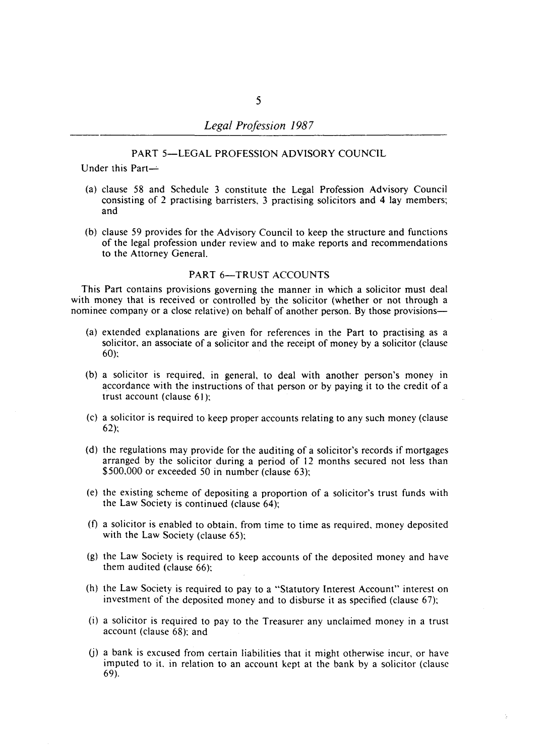## PART 5-LEGAL PROFESSION ADVISORY COUNCIL

Under this Part-

- (a) clause 58 and Schedule 3 constitute the Legal Profession Advisory Council consisting of 2 practising barristers, 3 practising solicitors and 4 lay members; and
- (b) clause 59 provides for the Advisory Council to keep the structure and functions of the legal profession under review and to make reports and recommendations to the Attorney General.

## PART 6-TRUST ACCOUNTS

This Part contains provisions governing the manner in which a solicitor must deal with money that is received or controlled by the solicitor (whether or not through a nominee company or a close relative) on behalf of another person. By those provisions-

- (a) extended explanations are given for references in the Part to practising as a solicitor, an associate of a solicitor and the receipt of money by a solicitor (clause 60):
- (b) a solicitor is required. in general, to deal with another person's money in accordance with the instructions of that person or by paying it to the credit of a trust account (clause 61):
- (c) a solicitor is required to keep proper accounts relating to any such money (clause  $62$ :
- (d) the regulations may provide for the auditing of a solicitor's records if mortgages arranged by the solicitor during a period of 12 months secured not less than \$500,000 or exceeded 50 in number (clause 63);
- (e) the existing scheme of depositing a proportion of a solicitor's trust funds with the Law Society is continued (clause 64);
- (f) a solicitor is enabled to obtain. from time to time as required, money deposited with the Law Society (clause 65);
- (g) the Law Society is required to keep accounts of the deposited money and have them audited (clause 66):
- (h) the Law Society is required to pay to a "Statutory Interest Account" interest on investment of the deposited money and to disburse it as specified (clause 67);
- (i) a solicitor is required to pay to the Treasurer any unclaimed money in a trust account (clause 68): and
- (j) a bank is excused from certain liabilities that it might otherwise incur, or have imputed to it. in relation to an account kept at the bank by a solicitor (clause 69).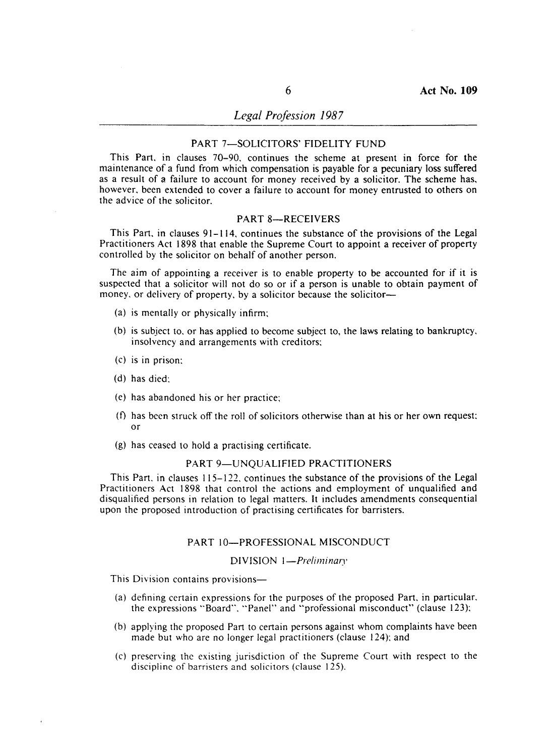## *Legal Profession 1987*

## PART 7-SOLICITORS' FIDELITY FUND

This Part. in clauses 70-90. continues the scheme at present in force for the maintenance of a fund from which compensation is payable for a pecuniary loss suffered as a result of a failure to account for money received by a solicitor. The scheme has. however. been extended to cover a failure to account for money entrusted to others on the advice of the solicitor.

## PART 8-RECEIVERS

This Part. in clauses 91-114, continues the substance of the provisions of the Legal Practitioners Act 1898 that enable the Supreme Court to appoint a receiver of property controlled by the solicitor on behalf of another person.

The aim of appointing a receiver is to enable property to be accounted for if it is suspected that a solicitor will not do so or if a person is unable to obtain payment of money, or delivery of property, by a solicitor because the solicitor-

- (a) is mentally or physically infirm;
- (b) is subject to, or has applied to become subject to, the laws relating to bankruptcy, insolvency and arrangements with creditors;
- (c) is in prison;
- (d) has died;
- (e) has abandoned his or her practice;
- (f) has been struck off the roll of solicitors otherwise than at his or her own request; or
- (g) has ceased to hold a practising certificate.

## PART 9-UNQUALIFIED PRACTITIONERS

This Part. in clauses 115-122. continues the substance of the provisions of the Legal Practitioners Act 1898 that control the actions and employment of unqualified and disqualified persons in relation to legal matters. It includes amendments consequential upon the proposed introduction of practising certificates for barristers.

### PART 10-PROFESSIONAL MISCONDUCT

#### DIVISION 1-Preliminary

- (a) defining certain expressions for the purposes of the proposed Part, in particular, the expressions "Board". "Panel" and "professional misconduct" (clause 123);
- (b) applying the proposed Part to certain persons against whom complaints have been made but who are no longer legal practitioners (clause 124); and
- (c) preserving the existing jurisdiction of the Supreme Court with respect to the discipline of barristers and solicitors (clause 125).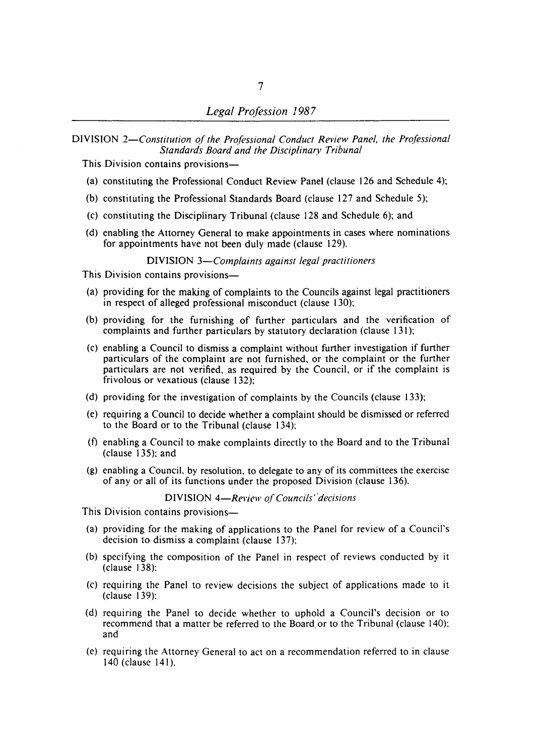DIVISION *2-Constitution of the Professional Conduct Review Panel. the Professional*  **Standards Board and the Disciplinary Tribunal** 

This Division contains provisions-

- (a) constituting the Professional Conduct Review Panel (clause 126 and Schedule 4);
- (b) constituting the Professional Standards Board (clause 127 and Schedule 5);
- (c) constituting the Disciplinary Tribunal (clause 128 and Schedule 6); and
- (d) enabling the Attorney General to make appointments in cases where nominations for appointments have not been duly made (clause 129).

DIVISION *3-Complaints against legal practitioners* 

This Division contains provisions-

- (a) providing for the making of complaints to the Councils against legal practitioners in respect of alleged professional misconduct (clause 130);
- (b) providing for the furnishing of further particulars and the verification of complaints and further particulars by statutory declaration (clause 131);
- (c) enabling a Council to dismiss a complaint without further investigation if further particulars of the complaint are not furnished, or the complaint or the further particulars are not verified, as required by the Council, or if the complaint is frivolous or vexatious (clause 132);
- (d) providing for the investigation of complaints by the Councils (clause 133);
- (e) requiring a Council to decide whether a complaint should be dismissed or referred to the Board or to the Tribunal (clause 134);
- (t) enabling a Council to make complaints directly to the Board and to the Tribunal (clause 135); and
- (g) enabling a Council, by resolution, to delegate to any of its committees the exercise of any or all of its functions under the proposed Division (clause 136).

### DIVISION 4-Review of Councils' decisions

- (a) providing for the making of applications to the Panel for review of a Council's decision to dismiss a complaint (clause 137);
- (b) specifying the composition of the Panel in respect of reviews conducted by it (clause 138):
- (c) requiring the Panel to review decisions the subject of applications made to it (clause 139):
- (d) requiring the Panel to decide whether to uphold a Council's decision or to recommend that a matter be referred to the Board,or to the Tribunal (clause 140); and
- (e) requiring the Attorney General to act on a recommendation referred to in clause 140 (clause 141).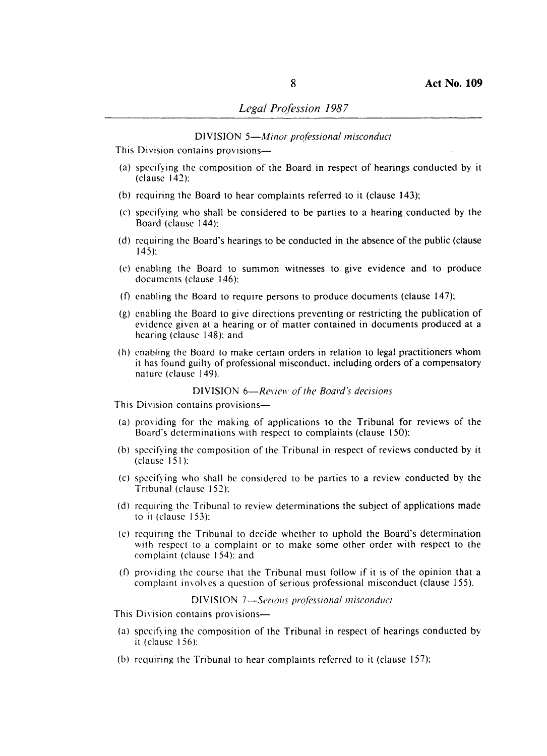### DIVISION *5-Minor professional misconduct*

This Division contains provisions-

- (a) specifying the composition of the Board in respect of hearings conducted by it (clause 142):
- (b) requiring the Board to hear complaints referred to it (clause 143);
- (c) specifying who shall be considered to be parties to a hearing conducted by the Board (clause 144):
- (d) requiring the Board's hearings to be conducted in the absence of the public (clause 145):
- (c) enabling the Board to summon witnesses to give evidence and to produce documents (clause 146):
- (f) enabling the Board to require persons to produce documents (clause  $147$ ):
- (g) enabling the Board to give directions preventing or restricting the publication of evidence given at a hearing or of matter contained in documents produced at a hearing (clause 148): and
- (h) enabling the Board to make certain orders in relation to legal practitioners whom it has found guilty of professional misconduct, including orders of a compensatory nature (clause 149).

### DIVISION 6-Review of the Board's decisions

- This Division contains provisions-
- (a) providing for the making of applications to the Tribunal for reviews of the Board's determinations with respect to complaints (clause 150):
- (b) specifying the composition of the Tribunal in respect of reviews conducted by it (clause 151):
- (c) specifying who shall be considered to be parties to a review conducted by the Tribunal (clause 152):
- (d) requiring the Tribunal to review determinations the subject of applications made to it (clause 153):
- (c) requiring the Tribunal to decide whether to uphold the Board's determination with respect to a complaint or to make some other order with respect to the complaint (clause 154): and
- (f) providing the course that the Tribunal must follow if it is of the opinion that a complaint involves a question of serious professional misconduct (clause 155).

DIVISION 7-Serious professional misconduct

- This Division contains provisions-
- (a) specifying the composition of the Tribunal in respect of hearings conducted by it (clause 156):
- (b) requiring the Tribunal to hear complaints referred to it (clause 157):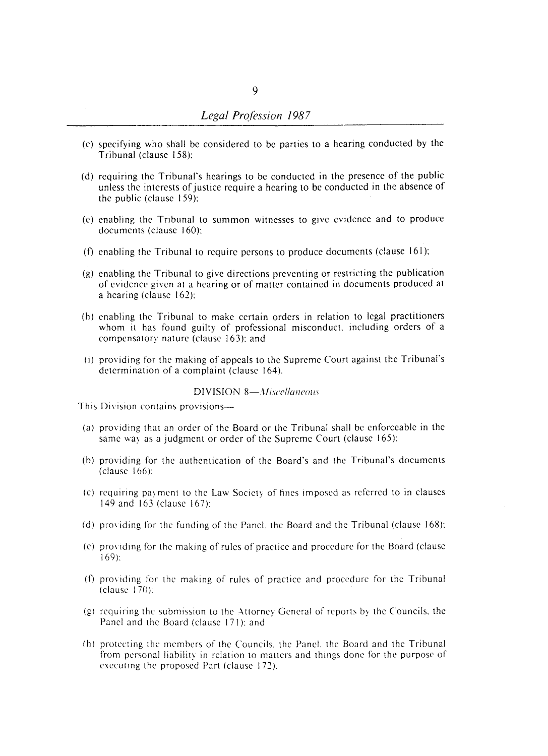- (c) specifying who shall be considered to be parties to a hearing conducted by the Tribunal (clause 158):
- (d) rcquiring the Tribunal's hearings to be conducted in the presence of the public unless the interests of justice require a hearing to be conducted in the absence of the public (clause 159):
- (e) enabling the Tribunal to summon witnesses to give evidence and to produce documents (clause 160):
- (f) enabling the Tribunal to require persons to produce documents (clause 161):
- (g) enabling the Tribunal to give directions preventing or restricting the publication of evidence given at a hearing or of matter contained in documents produced at a hearing (clause 162):
- (h) enabling the Tribunal to make certain orders in relation to Icgal practitioners whom it has found guilty of professional misconduct. including orders of a compensatory nature (clause 163): and
- (i) providing for the making of appeals to the Supreme Court against the Tribunal's determination of a complaint (clause 164).

## DIVISION 8-*Miscellaneous*

- (a) providing that an order of the Board or the Tribunal shall be enforceable in the same way as a judgment or order of the Supreme Court (clause 165):
- (b) providing for the authentication of the Board's and the Tribunal's documents (clause 166):
- (c) requiring payment to the Law Society of fines imposed as referred to in clauses 149 and 163 (clause 167):
- (d) providing for the funding of the Panel, the Board and the Tribunal (clause 168);
- (e) providing for the making of rules of practice and procedure for the Board (clause 169):
- (f) providing for the making of rules of practice and procedure for the Tribunal (clause 17()):
- (g) reqUiring the submission to the Attorney General of reports by the Councils. the Panel and the Board (clause 171): and
- (h) protecting the members of the Councils. the Panel. the Board and the Tribunal from personal liability in relation to matters and things done for the purpose of executing the proposed Part (clause 172).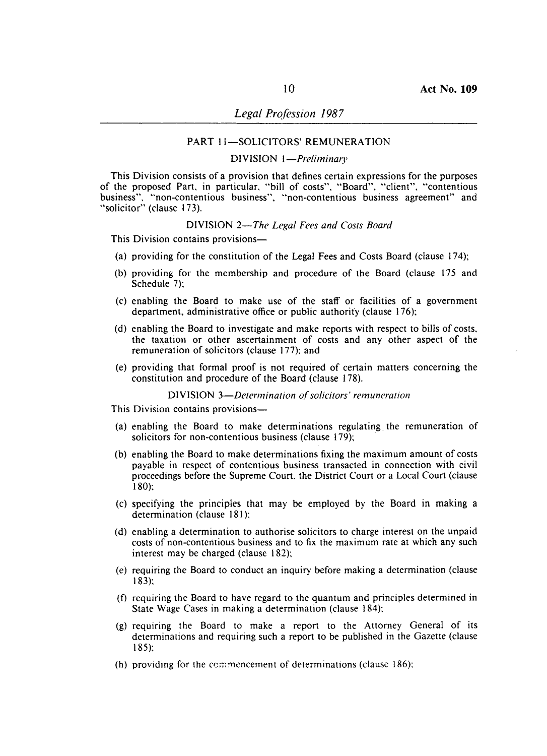### PART 11-SOLICITORS' REMUNERATION

## DIVISION *I-Preliminary*

This Division consists of a provision that defines certain expressions for the purposes of the proposed Part, in particular, "bill of costs", "Board", "client", "contentious business", "non-contentious business", "non-contentious business agreement" and "solicitor" (clause 173).

### DIVISION *2-The Legal Fees and Costs Board*

This Division contains provisions-

- (a) providing for the constitution of the Legal Fees and Costs Board (clause 174);
- (b) providing for the membership and procedure of the Board (clause 175 and Schedule 7);
- (c) enabling the Board to make use of the staff or facilities of a government department, administrative office or public authority (clause 176);
- (d) enabling the Board to investigate and make reports with respect to bills of costs, the taxation or other ascertainment of costs and any other aspect of the remuneration of solicitors (clause 177); and
- (e) providing that formal proof is not required of certain matters concerning the constitution and procedure of the Board (clause 178).

### DIVISION 3-Determination of solicitors' remuneration

- (a) enabling the Board to make determinations regulating\_ the remuneration of solicitors for non-contentious business (clause 179);
- (b) enabling the Board to make determinations fixing the maximum amount of costs payable in respect of contentious business transacted in connection with civil proceedings before the Supreme Court. the District Court or a Local Court (clause 180);
- (c) specifying the principles that may be employed by the Board in making a determination (clause 181);
- (d) enabling a determination to authorise solicitors to charge interest on the unpaid costs of non-contentious business and to fix the maximum rate at which any such interest may be charged (clause 182);
- (e) requiring the Board to conduct an inquiry before making a determination (clause 183);
- (f) requiring the Board to have regard to the quantum and principles determined in State Wage Cases in making a determination (clause 184);
- (g) requiring the Board to make a report to the Attorney General of its determinations and requiring such a report to be published in the Gazette (clause 185);
- (h) providing for the commencement of determinations (clause 186);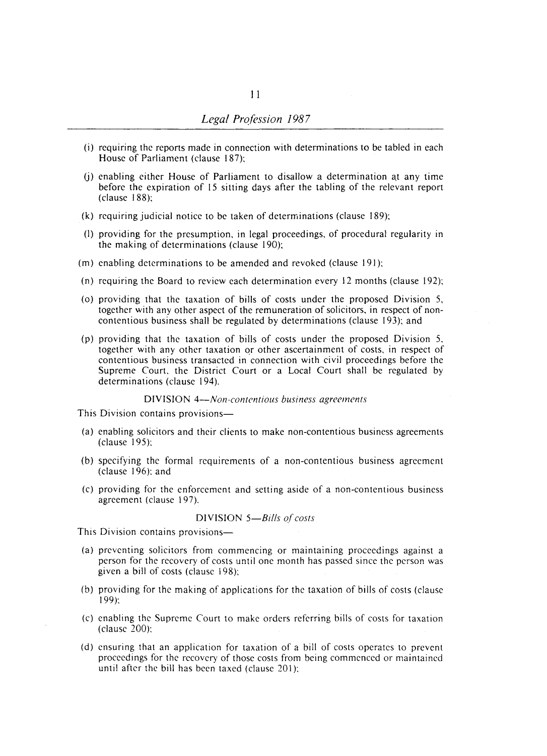- (i) requiring the reports made in connection with determinations to be tabled in each House of Parliament (clause 187);
- $(i)$  enabling either House of Parliament to disallow a determination at any time before the expiration of 15 sitting days after the tabling of the relevant report (clause 188);
- (k) requiring judicial notice to be taken of determinations (clause 189);
- (I) providing for the presumption, in legal proceedings, of procedural regularity in the making of determinations (clause 190);
- (m) enabling determinations to be amended and revoked (clause 191);
- (n) requiring the Board to review each determination every 12 months (clause 192);
- (0) providing that the taxation of bills of costs under the proposed Division 5, together with any other aspect of the remuneration of solicitors, in respect of noncontentious business shall be regulated by determinations (clause 193); and
- (p) providing that the taxation of bills of costs under the proposed Division 5, together with any other taxation or other ascertainment of costs, in respect of contentious business transacted in connection with civil proceedings before the Supreme Court, the District Court or a Local Court shall be regulated by determinations (clause 194).

DIVISION *4-Non-contentious business agreements* 

This Division contains provisions—

- (a) enabling solicitors and their clients to make non-contentious business agreements (clause 195);
- (b) specifying the formal requirements of a non-contentious business agreement (clause 196); and
- (c) providing for the enforcement and setting aside of a non-contentious business agreement (clause 197).

#### DIVISION *5-Bills of costs*

- (a) preventing solicitors from commencing or maintaining proceedings against a person for the recovery of costs until one month has passed since the person was given a bill of costs (clause 198);
- (b) providing for the making of applications for the taxation of bills of costs (clause 199):
- (c) enabling the Supreme Court to make orders referring bills of costs for taxation (clause 200):
- (d) ensuring that an application for taxation of a bill of costs operates to prevent proceedings for the recovery of those costs from being commenced or maintained until after the bill has been taxed (clause 201);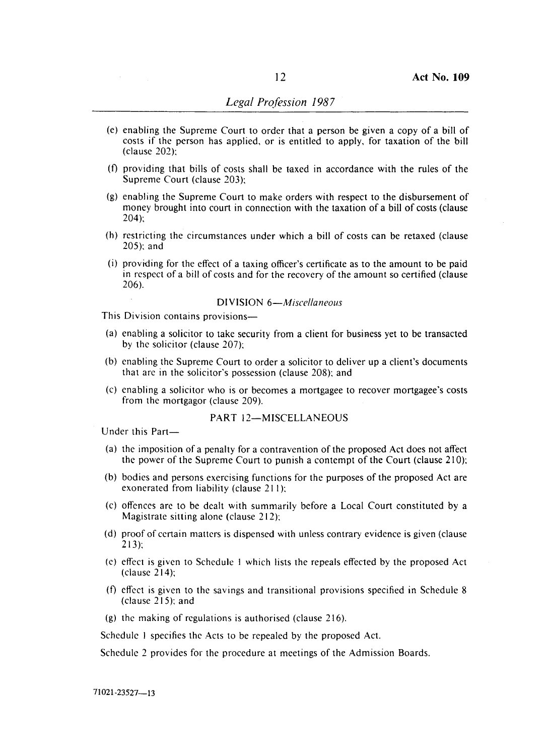- (e) enabling the Supreme Court to order that a person be given a copy of a bill of costs if the person has applied, or is entitled to apply, for taxation of the bill (clause 202):
- (f) providing that bills of costs shall be taxed in accordance with the rules of the Supreme Court (clause 203):
- (g) enabling the Supreme Court to make orders with respect to the disbursement of money brought into court in connection with the taxation of a bill of costs (clause 204):
- (h) restricting the circumstances under which a bill of costs can be retaxed (clause 205): and
- $(i)$  providing for the effect of a taxing officer's certificate as to the amount to be paid in respect of a bill of costs and for the recovery of the amount so certified (clause 206).

### DIVISION 6-*Miscellaneous*

This Division contains provisions-

- $(a)$  enabling a solicitor to take security from a client for business yet to be transacted by the solicitor (clause 207):
- (b) enabling the Supreme Court to order a solicitor to deliver up a client's documents that are in the solicitor's possession (clause 208); and
- (c) enabling a solicitor who is or becomes a mortgagee to recover mortgagee's costs from the mortgagor (clause 209).

### PART 12-MISCELLANEOUS

Under this Part-

- (a) the imposition of a penalty for a contravention of the proposed Act does not affect the power of the Supreme Court to punish a contempt of the Court (clause 210):
- (b) bodies and persons exercising functions for the purposes of the proposed Act are exonerated from liability (clause 211):
- (c) offences are to be dealt with summarily before a Local Court constituted by a Magistrate sitting alone (clause 212):
- (d) proof of certain matters is dispensed with unless contrary evidence is given (clause 213):
- (e) effect is given to Schedule I which lists the repeals effected by the proposed Act (clause 214);
- (f) effect is given to the savings and transitional provisions specified in Schedule 8 (clause 215): and
- (g) the making of regulations is authorised (clause 216).

Schedule I specifies the Acts to be repealed by the proposed Act.

Schedule 2 provides for the procedure at meetings of the Admission Boards.